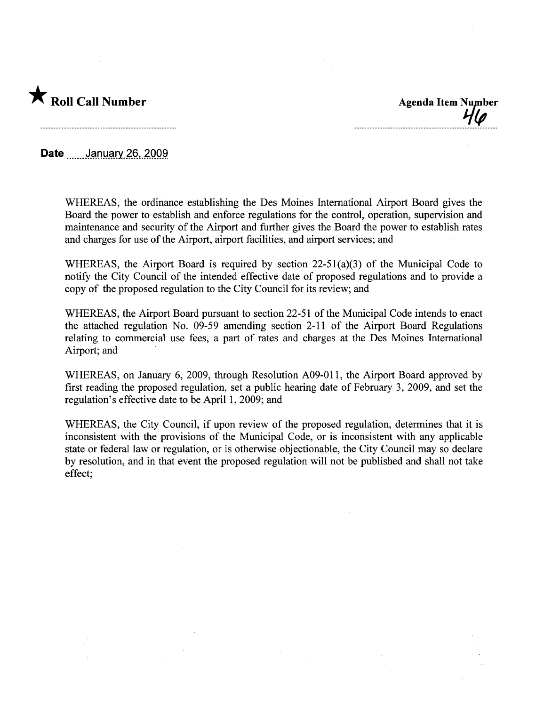

Date .......January 26, 2009

WHEREAS, the ordinance establishing the Des Moines International Airport Board gives the Board the power to establish and enforce regulations for the control, operation, supervision and maintenance and security of the Airport and further gives the Board the power to establish rates and charges for use of the Airport, airport facilities, and airport services; and

WHEREAS, the Airport Board is required by section 22-51(a)(3) of the Municipal Code to notify the City Council of the intended effective date of proposed regulations and to provide a copy of the proposed regulation to the City Council for its review; and

WHEREAS, the Airport Board pursuant to section 22-51 of the Municipal Code intends to enact the attached regulation No. 09-59 amending section 2-11 of the Airport Board Regulations relating to commercial use fees, a part of rates and charges at the Des Moines International Airport; and

WHEREAS, on January 6, 2009, through Resolution A09-011, the Airport Board approved by first reading the proposed regulation, set a public hearing date of February 3, 2009, and set the regulation's effective date to be April 1,2009; and

WHEREAS, the City Council, if upon review of the proposed regulation, determines that it is inconsistent with the provisions of the Municipal Code, or is inconsistent with any applicable state or federal law or regulation, or is otherwise objectionable, the City Council may so declare by resolution, and in that event the proposed regulation will not be published and shall not take effect;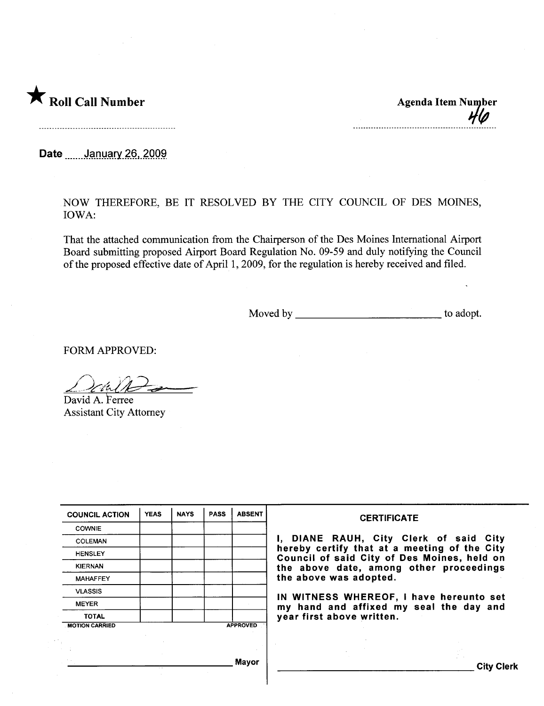

Date **mulphillips** 26, 2009

NOW THEREFORE, BE IT RESOLVED BY THE CITY COUNCIL OF DES MOINES, IOWA:

That the attached communication from the Chairperson of the Des Moines International Airport Board submitting proposed Airport Board Regulation No. 09-59 and duly notifying the Council of the proposed effective date of April 1,2009, for the regulation is hereby received and filed.

Moved by to adopt.

FORM APPROVED:

 $\triangle$  chill  $\ominus$ 

David A. Ferree Assistant City Attorney

| <b>COUNCIL ACTION</b> | <b>YEAS</b>                            | <b>NAYS</b> | <b>PASS</b> | <b>ABSENT</b>                           | <b>CERTIFICATE</b>                                                                                              |
|-----------------------|----------------------------------------|-------------|-------------|-----------------------------------------|-----------------------------------------------------------------------------------------------------------------|
| <b>COWNIE</b>         |                                        |             |             |                                         |                                                                                                                 |
| <b>COLEMAN</b>        | I, DIANE RAUH, City Clerk of said City |             |             |                                         |                                                                                                                 |
| <b>HENSLEY</b>        |                                        |             |             |                                         | hereby certify that at a meeting of the City<br>Council of said City of Des Moines, held on                     |
| <b>KIERNAN</b>        |                                        |             |             | the above date, among other proceedings |                                                                                                                 |
| <b>MAHAFFEY</b>       |                                        |             |             |                                         | the above was adopted.                                                                                          |
| <b>VLASSIS</b>        |                                        |             |             |                                         |                                                                                                                 |
| <b>MEYER</b>          |                                        |             |             |                                         | IN WITNESS WHEREOF, I have hereunto set<br>my hand and affixed my seal the day and<br>year first above written. |
| <b>TOTAL</b>          |                                        |             |             |                                         |                                                                                                                 |
| <b>MOTION CARRIED</b> |                                        |             |             | <b>APPROVED</b>                         |                                                                                                                 |
|                       |                                        |             |             |                                         |                                                                                                                 |
|                       |                                        |             |             |                                         |                                                                                                                 |
|                       |                                        |             |             | <b>Mayor</b>                            | <b>City Clerk</b>                                                                                               |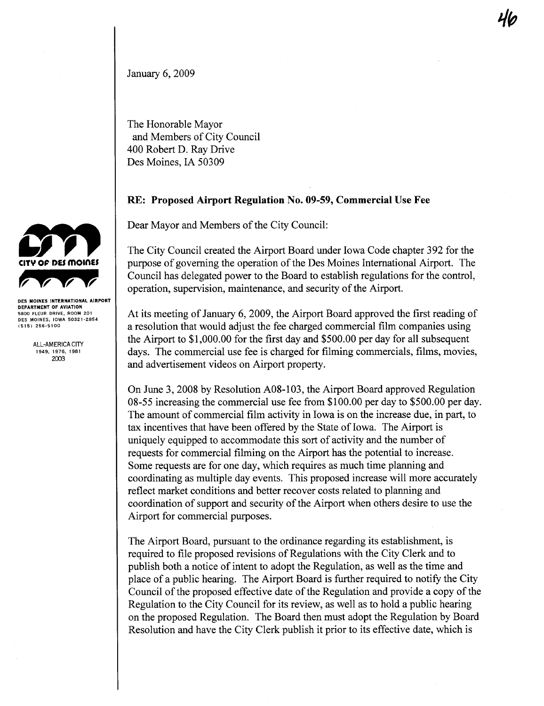January 6, 2009

The Honorable Mayor and Members of City Council 400 Robert D. Ray Drive Des Moines, IA 50309

## RE: Proposed Airport Regulation No. 09-59, Commercial Use Fee

Dear Mayor and Members of the City Council:

The City Council created the Airport Board under Iowa Code chapter 392 for the purose of governing the operation of the Des Moines International Airport. The Council has delegated power to the Board to establish regulations for the control, operation, supervision, maintenance, and security of the Airport.

At its meeting of January 6, 2009, the Airport Board approved the first reading of a resolution that would adjust the fee charged commercial film companies using the Airport to \$1,000.00 for the first day and \$500.00 per day for all subsequent days. The commercial use fee is charged for filming commercials, fims, movies, and advertisement videos on Airport propert.

On June 3, 2008 by Resolution A08-103, the Airport Board approved Regulation 08-55 increasing the commercial use fee from \$100.00 per day to \$500.00 per day. The amount of commercial film activity in Iowa is on the increase due, in part, to tax incentives that have been offered by the State of Iowa. The Airport is uniquely equipped to accommodate this sort of activity and the number of requests for commercial filniing on the Airport has the potential to increase. Some requests are for one day, which requires as much time planing and coordinating as multiple day events. This proposed increase will more accurately reflect market conditions and better recover costs related to planing and coordination of support and security of the Airport when others desire to use the Airport for commercial puroses.

The Airport Board, pursuant to the ordinance regarding its establishment, is required to fie proposed revisions of Regulations with the City Clerk and to publish both a notice of intent to adopt the Regulation, as well as the time and place of a public hearing. The Airport Board is further required to notify the City Council of the proposed effective date of the Regulation and provide a copy of the Regulation to the City Council for its review, as well as to hold a public hearng on the proposed Regulation. The Board then must adopt the Regulation by Board Resolution and have the City Clerk publish it prior to its effective date, which is



DEPARTMENT OF AVIATION 5800 FLEUR ORIVE, ROOM 201 OE5 MOINE5, IOWA 50321-2854 (515) 256-5100

> ALL-AMERICA CITY 1949, 1976, 1981 200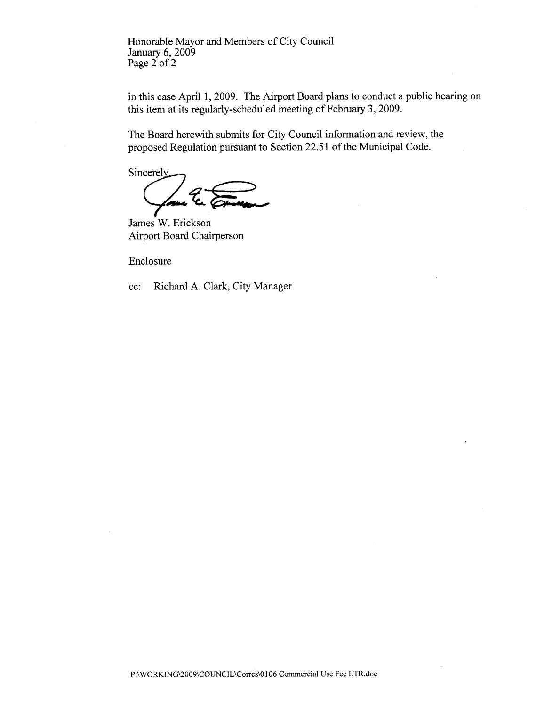Honorable Mayor and Members of City Council January 6, 2009 Page 2 of 2

in this case April 1, 2009. The Airport Board plans to conduct a public hearing on this item at its regularly-scheduled meeting of February 3, 2009.

The Board herewith submits for City Council information and review, the proposed Regulation pursuant to Section 22.51 of the Municipal Code.

Sincerely Your le Comme

James W. Erickson Airport Board Chairperson

Enclosure

cc: Richard A. Clark, City Manager